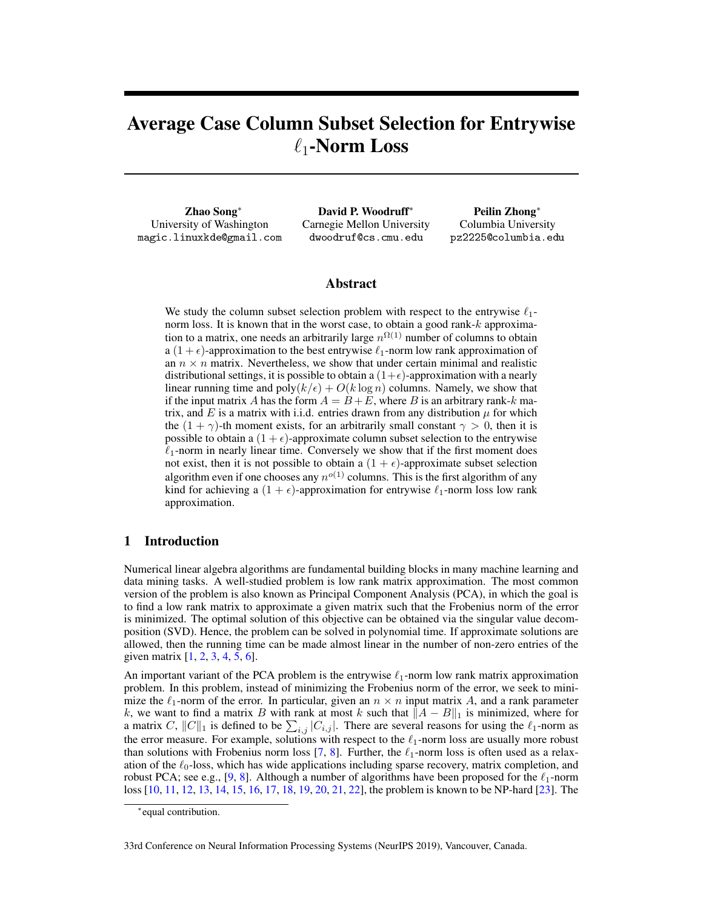# Average Case Column Subset Selection for Entrywise  $\ell_1$ -Norm Loss

Zhao Song<sup>∗</sup> University of Washington magic.linuxkde@gmail.com

David P. Woodruff<sup>∗</sup> Carnegie Mellon University dwoodruf@cs.cmu.edu

Peilin Zhong<sup>∗</sup> Columbia University pz2225@columbia.edu

## Abstract

We study the column subset selection problem with respect to the entrywise  $\ell_1$ norm loss. It is known that in the worst case, to obtain a good rank-k approximation to a matrix, one needs an arbitrarily large  $n^{\Omega(1)}$  number of columns to obtain a  $(1 + \epsilon)$ -approximation to the best entrywise  $\ell_1$ -norm low rank approximation of an  $n \times n$  matrix. Nevertheless, we show that under certain minimal and realistic distributional settings, it is possible to obtain a  $(1+\epsilon)$ -approximation with a nearly linear running time and  $poly(k/\epsilon) + O(k \log n)$  columns. Namely, we show that if the input matrix A has the form  $A = B + E$ , where B is an arbitrary rank-k matrix, and E is a matrix with i.i.d. entries drawn from any distribution  $\mu$  for which the  $(1 + \gamma)$ -th moment exists, for an arbitrarily small constant  $\gamma > 0$ , then it is possible to obtain a  $(1 + \epsilon)$ -approximate column subset selection to the entrywise  $\ell_1$ -norm in nearly linear time. Conversely we show that if the first moment does not exist, then it is not possible to obtain a  $(1 + \epsilon)$ -approximate subset selection algorithm even if one chooses any  $n^{o(1)}$  columns. This is the first algorithm of any kind for achieving a  $(1 + \epsilon)$ -approximation for entrywise  $\ell_1$ -norm loss low rank approximation.

# 1 Introduction

Numerical linear algebra algorithms are fundamental building blocks in many machine learning and data mining tasks. A well-studied problem is low rank matrix approximation. The most common version of the problem is also known as Principal Component Analysis (PCA), in which the goal is to find a low rank matrix to approximate a given matrix such that the Frobenius norm of the error is minimized. The optimal solution of this objective can be obtained via the singular value decomposition (SVD). Hence, the problem can be solved in polynomial time. If approximate solutions are allowed, then the running time can be made almost linear in the number of non-zero entries of the given matrix [1, 2, 3, 4, 5, 6].

An important variant of the PCA problem is the entrywise  $\ell_1$ -norm low rank matrix approximation problem. In this problem, instead of minimizing the Frobenius norm of the error, we seek to minimize the  $\ell_1$ -norm of the error. In particular, given an  $n \times n$  input matrix A, and a rank parameter k, we want to find a matrix B with rank at most k such that  $||A - B||_1$  is minimized, where for a matrix C,  $||C||_1$  is defined to be  $\sum_{i,j} |C_{i,j}|$ . There are several reasons for using the  $\ell_1$ -norm as the error measure. For example, solutions with respect to the  $\ell_1$ -norm loss are usually more robust than solutions with Frobenius norm loss [7, 8]. Further, the  $\ell_1$ -norm loss is often used as a relaxation of the  $\ell_0$ -loss, which has wide applications including sparse recovery, matrix completion, and robust PCA; see e.g., [9, 8]. Although a number of algorithms have been proposed for the  $\ell_1$ -norm loss [10, 11, 12, 13, 14, 15, 16, 17, 18, 19, 20, 21, 22], the problem is known to be NP-hard [23]. The

<sup>∗</sup> equal contribution.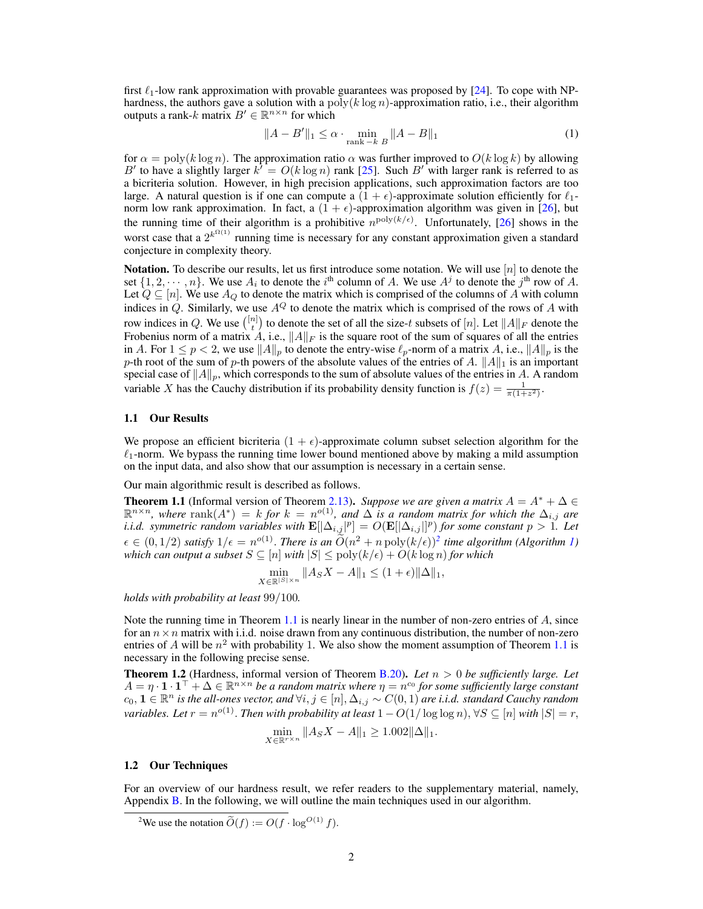first  $\ell_1$ -low rank approximation with provable guarantees was proposed by [24]. To cope with NPhardness, the authors gave a solution with a poly( $k \log n$ )-approximation ratio, i.e., their algorithm outputs a rank-k matrix  $B' \in \mathbb{R}^{n \times n}$  for which

$$
||A - B'||_1 \le \alpha \cdot \min_{\text{rank} -k \ B} ||A - B||_1
$$
 (1)

for  $\alpha = \text{poly}(k \log n)$ . The approximation ratio  $\alpha$  was further improved to  $O(k \log k)$  by allowing B' to have a slightly larger  $k' = O(k \log n)$  rank [25]. Such B' with larger rank is referred to as a bicriteria solution. However, in high precision applications, such approximation factors are too large. A natural question is if one can compute a  $(1 + \epsilon)$ -approximate solution efficiently for  $\ell_1$ norm low rank approximation. In fact, a  $(1 + \epsilon)$ -approximation algorithm was given in [26], but the running time of their algorithm is a prohibitive  $n^{\text{poly}(k/\epsilon)}$ . Unfortunately, [26] shows in the worst case that a  $2^{k^{\Omega(1)}}$  running time is necessary for any constant approximation given a standard conjecture in complexity theory.

**Notation.** To describe our results, let us first introduce some notation. We will use  $[n]$  to denote the set  $\{1, 2, \dots, n\}$ . We use  $A_i$  to denote the i<sup>th</sup> column of A. We use  $A^j$  to denote the j<sup>th</sup> row of A. Let  $Q \subseteq [n]$ . We use  $A_Q$  to denote the matrix which is comprised of the columns of A with column indices in Q. Similarly, we use  $A^{Q}$  to denote the matrix which is comprised of the rows of A with row indices in Q. We use  $\binom{[n]}{t}$  to denote the set of all the size-t subsets of  $[n]$ . Let  $||A||_F$  denote the Frobenius norm of a matrix A, i.e.,  $||A||_F$  is the square root of the sum of squares of all the entries in A. For  $1 \le p < 2$ , we use  $||A||_p$  to denote the entry-wise  $\ell_p$ -norm of a matrix A, i.e.,  $||A||_p$  is the p-th root of the sum of p-th powers of the absolute values of the entries of A.  $||A||_1$  is an important special case of  $||A||_p$ , which corresponds to the sum of absolute values of the entries in A. A random variable X has the Cauchy distribution if its probability density function is  $f(z) = \frac{1}{\pi(1+z^2)}$ .

### 1.1 Our Results

We propose an efficient bicriteria  $(1 + \epsilon)$ -approximate column subset selection algorithm for the  $\ell_1$ -norm. We bypass the running time lower bound mentioned above by making a mild assumption on the input data, and also show that our assumption is necessary in a certain sense.

Our main algorithmic result is described as follows.

**Theorem 1.1** (Informal version of Theorem 2.13). *Suppose we are given a matrix*  $A = A^* + \Delta \in$  $\mathbb{R}^{n \times n}$ , where rank $(A^*) = k$  *for*  $k = n^{o(1)}$ , and  $\Delta$  *is a random matrix for which the*  $\Delta_{i,j}$  *are i.i.d.* symmetric random variables with  $\mathbf{E}[[\Delta_{i,j}]^p] = O(\mathbf{E}[[\Delta_{i,j}]^p)$  for some constant  $p > 1$ . Let  $\epsilon \in (0, 1/2)$  *satisfy*  $1/\epsilon = n^{o(1)}$ . *There is an*  $\widetilde{O}(n^2 + n \text{ poly}(k/\epsilon))^2$  *time algorithm (Algorithm 1) which can output a subset*  $S \subseteq [n]$  *with*  $|S| \leq \text{poly}(k/\epsilon) + O(k \log n)$  *for which* 

$$
\min_{X \in \mathbb{R}^{|S| \times n}} \|A_S X - A\|_1 \le (1 + \epsilon) \|\Delta\|_1,
$$

*holds with probability at least* 99/100*.*

Note the running time in Theorem 1.1 is nearly linear in the number of non-zero entries of  $A$ , since for an  $n \times n$  matrix with i.i.d. noise drawn from any continuous distribution, the number of non-zero entries of A will be  $n^2$  with probability 1. We also show the moment assumption of Theorem 1.1 is necessary in the following precise sense.

**Theorem 1.2** (Hardness, informal version of Theorem B.20). Let  $n > 0$  be sufficiently large. Let  $A = \eta \cdot \mathbf{1} \cdot \mathbf{1}^\top + \Delta \in \mathbb{R}^{n \times n}$  be a random matrix where  $\eta = n^{c_0}$  for some sufficiently large constant  $c_0, 1 \in \R^n$  is the all-ones vector, and  $\forall i, j \in [n], \Delta_{i,j} \sim C(0, 1)$  are i.i.d. standard Cauchy random variables. Let  $r = n^{o(1)}$ . Then with probability at least  $1 - O(1/\log \log n), \forall S \subseteq [n]$  with  $|S| = r,$ 

$$
\min_{X \in \mathbb{R}^{r \times n}} \|A_S X - A\|_1 \ge 1.002 \|\Delta\|_1.
$$

#### 1.2 Our Techniques

For an overview of our hardness result, we refer readers to the supplementary material, namely, Appendix B. In the following, we will outline the main techniques used in our algorithm.

<sup>&</sup>lt;sup>2</sup>We use the notation  $\widetilde{O}(f) := \overline{O(f \cdot \log^{O(1)} f)}$ .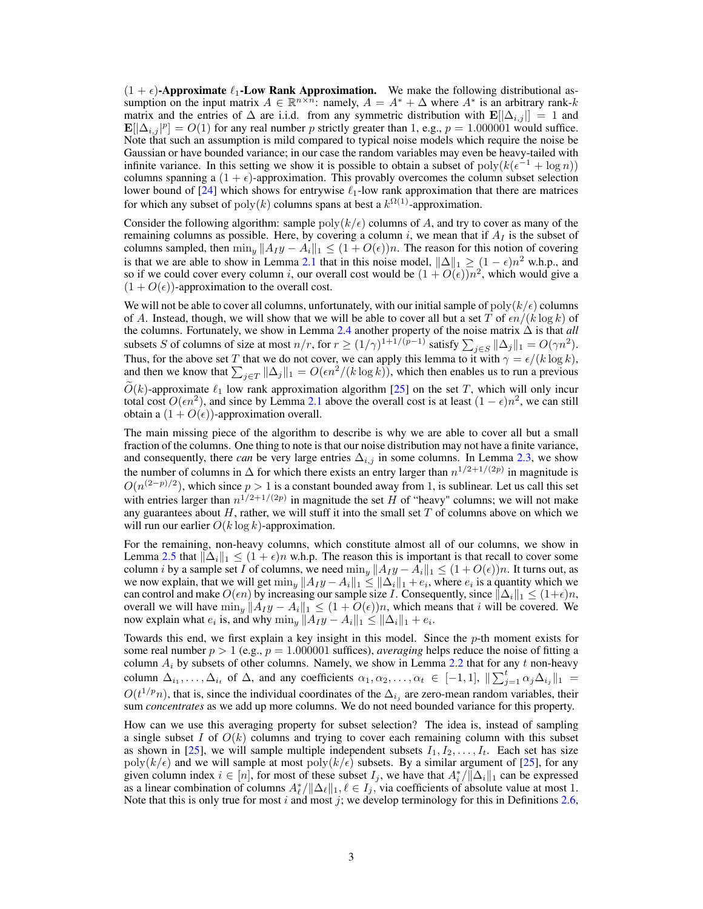$(1 + \epsilon)$ -Approximate  $\ell_1$ -Low Rank Approximation. We make the following distributional assumption on the input matrix  $A \in \mathbb{R}^{n \times n}$ : namely,  $A = A^* + \Delta$  where  $A^*$  is an arbitrary rank-k matrix and the entries of  $\Delta$  are i.i.d. from any symmetric distribution with  $\mathbf{E}[|\Delta_{i,j}|] = 1$  and  $\mathbf{E}[\Delta_{i,j} | p] = O(1)$  for any real number p strictly greater than 1, e.g.,  $p = 1.000001$  would suffice. Note that such an assumption is mild compared to typical noise models which require the noise be Gaussian or have bounded variance; in our case the random variables may even be heavy-tailed with infinite variance. In this setting we show it is possible to obtain a subset of  $poly(k(\epsilon^{-1} + \log n))$ columns spanning a  $(1 + \epsilon)$ -approximation. This provably overcomes the column subset selection lower bound of [24] which shows for entrywise  $\ell_1$ -low rank approximation that there are matrices for which any subset of  $poly(k)$  columns spans at best a  $k^{\Omega(1)}$ -approximation.

Consider the following algorithm: sample  $\text{poly}(k/\epsilon)$  columns of A, and try to cover as many of the remaining columns as possible. Here, by covering a column i, we mean that if  $A<sub>I</sub>$  is the subset of columns sampled, then  $\min_y ||A_I y - A_i||_1 \leq (1 + O(\epsilon))n$ . The reason for this notion of covering is that we are able to show in Lemma 2.1 that in this noise model,  $\|\Delta\|_1 \geq (1 - \epsilon)n^2$  w.h.p., and so if we could cover every column i, our overall cost would be  $(1 + O(\epsilon))n^2$ , which would give a  $(1 + O(\epsilon))$ -approximation to the overall cost.

We will not be able to cover all columns, unfortunately, with our initial sample of poly $(k/\epsilon)$  columns of A. Instead, though, we will show that we will be able to cover all but a set T of  $\epsilon n/(k \log k)$  of the columns. Fortunately, we show in Lemma 2.4 another property of the noise matrix ∆ is that *all* subsets S of columns of size at most  $n/r$ , for  $r \ge (1/\gamma)^{1+1/(p-1)}$  satisfy  $\sum_{j \in S} ||\Delta_j||_1 = O(\gamma n^2)$ . Thus, for the above set T that we do not cover, we can apply this lemma to it with  $\gamma = \epsilon/(k \log k)$ , and then we know that  $\sum_{j\in T} ||\Delta_j||_1 = O(\epsilon n^2/(k \log k))$ , which then enables us to run a previous  $O(k)$ -approximate  $\ell_1$  low rank approximation algorithm [25] on the set T, which will only incur total cost  $O(\epsilon n^2)$ , and since by Lemma 2.1 above the overall cost is at least  $(1 - \epsilon)n^2$ , we can still obtain a  $(1 + O(\epsilon))$ -approximation overall.

The main missing piece of the algorithm to describe is why we are able to cover all but a small fraction of the columns. One thing to note is that our noise distribution may not have a finite variance, and consequently, there *can* be very large entries  $\Delta_{i,j}$  in some columns. In Lemma 2.3, we show the number of columns in  $\Delta$  for which there exists an entry larger than  $n^{1/2+1/(2p)}$  in magnitude is  $O(n^{(2-p)/2})$ , which since  $p > 1$  is a constant bounded away from 1, is sublinear. Let us call this set with entries larger than  $n^{1/2+1/(2p)}$  in magnitude the set H of "heavy" columns; we will not make any guarantees about  $H$ , rather, we will stuff it into the small set  $T$  of columns above on which we will run our earlier  $O(k \log k)$ -approximation.

For the remaining, non-heavy columns, which constitute almost all of our columns, we show in Lemma 2.5 that  $\|\Delta_i\|_1 \leq (1 + \epsilon)n$  w.h.p. The reason this is important is that recall to cover some column *i* by a sample set I of columns, we need  $\min_y ||A_I y - A_i||_1 \leq (1 + O(\epsilon))n$ . It turns out, as we now explain, that we will get  $\min_y \|Ay - A_i\|_1 \le \|\Delta_i\|_1 + e_i$ , where  $e_i$  is a quantity which we can control and make  $O(\epsilon n)$  by increasing our sample size *I*. Consequently, since  $\|\Delta_i\|_1 \leq (1+\epsilon)n$ , overall we will have  $\min_u ||A_I y - A_i||_1 \leq (1 + O(\epsilon))n$ , which means that i will be covered. We now explain what  $e_i$  is, and why  $\min_y ||Ay - A_i||_1 \le ||\Delta_i||_1 + e_i$ .

Towards this end, we first explain a key insight in this model. Since the p-th moment exists for some real number  $p > 1$  (e.g.,  $p = 1.000001$  suffices), *averaging* helps reduce the noise of fitting a column  $A_i$  by subsets of other columns. Namely, we show in Lemma 2.2 that for any t non-heavy column  $\Delta_{i_1}, \ldots, \Delta_{i_t}$  of  $\Delta$ , and any coefficients  $\alpha_1, \alpha_2, \ldots, \alpha_t \in [-1, 1], ||\sum_{j=1}^t \alpha_j \Delta_{i_j}||_1 =$  $O(t^{1/p}n)$ , that is, since the individual coordinates of the  $\Delta_{i_j}$  are zero-mean random variables, their sum *concentrates* as we add up more columns. We do not need bounded variance for this property.

How can we use this averaging property for subset selection? The idea is, instead of sampling a single subset I of  $O(k)$  columns and trying to cover each remaining column with this subset as shown in [25], we will sample multiple independent subsets  $I_1, I_2, \ldots, I_t$ . Each set has size  $poly(k/\epsilon)$  and we will sample at most  $poly(k/\epsilon)$  subsets. By a similar argument of [25], for any given column index  $i \in [n]$ , for most of these subset  $I_j$ , we have that  $A_i^* / ||\Delta_i||_1$  can be expressed as a linear combination of columns  $A^*_{\ell}/\|\Delta_{\ell}\|_1$ ,  $\ell \in I_j$ , via coefficients of absolute value at most 1. Note that this is only true for most i and most j; we develop terminology for this in Definitions 2.6,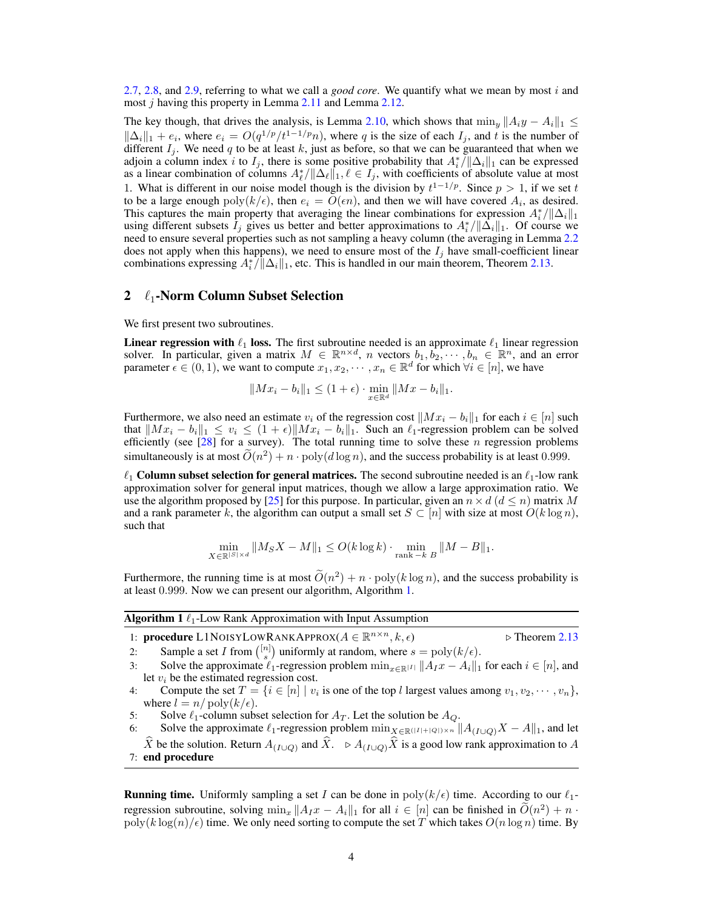2.7, 2.8, and 2.9, referring to what we call a *good core*. We quantify what we mean by most i and most *j* having this property in Lemma 2.11 and Lemma 2.12.

The key though, that drives the analysis, is Lemma 2.10, which shows that  $\min_y ||A_i y - A_i||_1 \le$  $\|\Delta_i\|_1 + e_i$ , where  $e_i = O(q^{1/p}/t^{1-1/p}n)$ , where q is the size of each  $I_j$ , and t is the number of different  $I_j$ . We need q to be at least k, just as before, so that we can be guaranteed that when we adjoin a column index i to  $I_j$ , there is some positive probability that  $A_i^* / ||\Delta_i||_1$  can be expressed as a linear combination of columns  $A^*_{\ell}/\|\Delta_{\ell}\|_1$ ,  $\ell \in I_j$ , with coefficients of absolute value at most 1. What is different in our noise model though is the division by  $t^{1-1/p}$ . Since  $p > 1$ , if we set t to be a large enough  $poly(k/\epsilon)$ , then  $e_i = O(\epsilon n)$ , and then we will have covered  $A_i$ , as desired. This captures the main property that averaging the linear combinations for expression  $A_i^*/\|\Delta_i\|_1$ using different subsets  $I_j$  gives us better and better approximations to  $A_i^*/\|\Delta_i\|_1$ . Of course we need to ensure several properties such as not sampling a heavy column (the averaging in Lemma 2.2 does not apply when this happens), we need to ensure most of the  $I_j$  have small-coefficient linear combinations expressing  $A_i^* / ||\Delta_i||_1$ , etc. This is handled in our main theorem, Theorem 2.13.

## 2  $\ell_1$ -Norm Column Subset Selection

We first present two subroutines.

**Linear regression with**  $\ell_1$  **loss.** The first subroutine needed is an approximate  $\ell_1$  linear regression solver. In particular, given a matrix  $M \in \mathbb{R}^{n \times d}$ , n vectors  $b_1, b_2, \dots, b_n \in \mathbb{R}^n$ , and an error parameter  $\epsilon \in (0,1)$ , we want to compute  $x_1, x_2, \dots, x_n \in \mathbb{R}^d$  for which  $\forall i \in [n]$ , we have

$$
||Mx_i - b_i||_1 \le (1 + \epsilon) \cdot \min_{x \in \mathbb{R}^d} ||Mx - b_i||_1.
$$

Furthermore, we also need an estimate  $v_i$  of the regression cost  $||Mx_i - b_i||_1$  for each  $i \in [n]$  such that  $||Mx_i - b_i||_1 \le v_i \le (1 + \epsilon) ||Mx_i - b_i||_1$ . Such an  $\ell_1$ -regression problem can be solved efficiently (see  $[28]$  for a survey). The total running time to solve these n regression problems simultaneously is at most  $\tilde{O}(n^2) + n \cdot \text{poly}(d \log n)$ , and the success probability is at least 0.999.

 $\ell_1$  Column subset selection for general matrices. The second subroutine needed is an  $\ell_1$ -low rank approximation solver for general input matrices, though we allow a large approximation ratio. We use the algorithm proposed by [25] for this purpose. In particular, given an  $n \times d$  ( $d \leq n$ ) matrix M and a rank parameter k, the algorithm can output a small set  $S \subset [n]$  with size at most  $O(k \log n)$ , such that

$$
\min_{X \in \mathbb{R}^{|S| \times d}} \|M_S X - M\|_1 \le O(k \log k) \cdot \min_{\text{rank} - k} \|M - B\|_1.
$$

Furthermore, the running time is at most  $\tilde{O}(n^2) + n \cdot \text{poly}(k \log n)$ , and the success probability is at least 0.999. Now we can present our algorithm, Algorithm 1.

| <b>Algorithm 1</b> $\ell_1$ -Low Rank Approximation with Input Assumption                         |                               |
|---------------------------------------------------------------------------------------------------|-------------------------------|
| 1: <b>procedure</b> L1NOISYLOWRANKAPPROX( $A \in \mathbb{R}^{n \times n}$ , $k, \epsilon$ )       | $\triangleright$ Theorem 2.13 |
| 2. Sample a set I from $\binom{[n]}{[n]}$ uniformly at random where $s = \text{poly}(k/\epsilon)$ |                               |

- 2: Sample a set I from  $\binom{[n]}{s}$  uniformly at random, where  $s = \text{poly}(k/\epsilon)$ .
- 3: Solve the approximate  $\ell_1$ -regression problem  $\min_{x \in \mathbb{R}^{|I|}} ||A_I x A_i||_1$  for each  $i \in [n]$ , and let  $v_i$  be the estimated regression cost.
- 4: Compute the set  $T = \{i \in [n] \mid v_i \text{ is one of the top } l \text{ largest values among } v_1, v_2, \dots, v_n\},\$ where  $l = n/\text{poly}(k/\epsilon)$ .
- 5: Solve  $\ell_1$ -column subset selection for  $A_T$ . Let the solution be  $A_Q$ .
- 6: Solve the approximate  $\ell_1$ -regression problem  $\min_{X \in \mathbb{R}(|I|+|Q|) \times n} ||A_{(I \cup Q)}X A||_1$ , and let  $\widehat{X}$  be the solution. Return  $A_{(I\cup Q)}$  and  $\widehat{X}$ .  $\triangleright A_{(I\cup Q)}\widehat{X}$  is a good low rank approximation to A 7: end procedure

**Running time.** Uniformly sampling a set I can be done in  $\text{poly}(k/\epsilon)$  time. According to our  $\ell_1$ regression subroutine, solving  $\min_x ||A_Ix - A_i||_1$  for all  $i \in [n]$  can be finished in  $\widetilde{O}(n^2) + n \cdot$  $poly(k \log(n)/\epsilon)$  time. We only need sorting to compute the set T which takes  $O(n \log n)$  time. By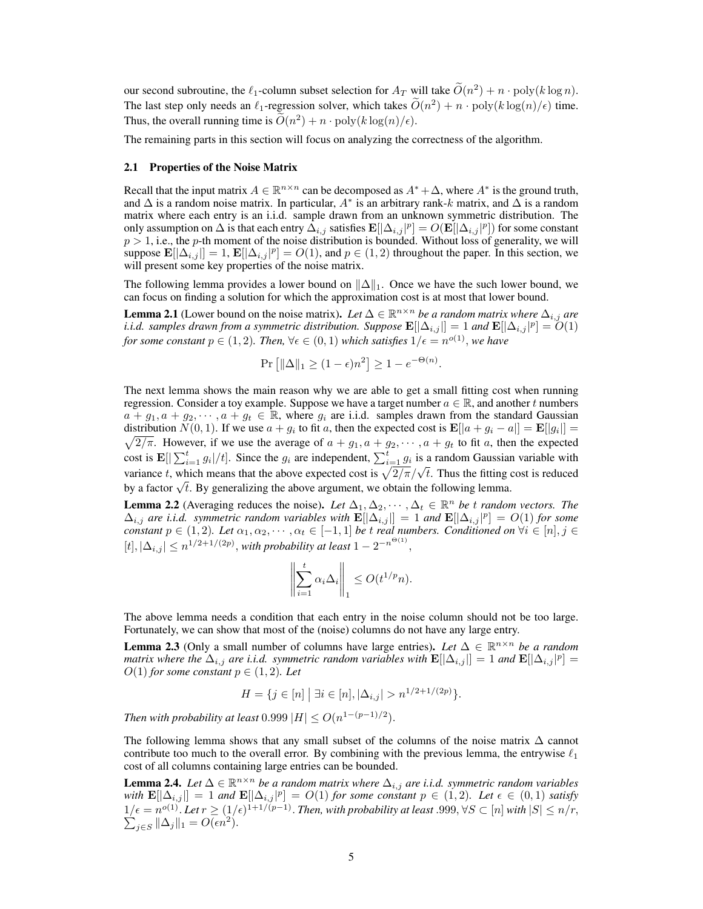our second subroutine, the  $\ell_1$ -column subset selection for  $A_T$  will take  $\widetilde{O}(n^2) + n \cdot \text{poly}(k \log n)$ . The last step only needs an  $\ell_1$ -regression solver, which takes  $\widetilde{O}(n^2) + n \cdot \text{poly}(k \log(n)/\epsilon)$  time. Thus, the overall running time is  $\widetilde{O}(n^2) + n \cdot \text{poly}(k \log(n)/\epsilon)$ .

The remaining parts in this section will focus on analyzing the correctness of the algorithm.

#### 2.1 Properties of the Noise Matrix

Recall that the input matrix  $A \in \mathbb{R}^{n \times n}$  can be decomposed as  $A^* + \Delta$ , where  $A^*$  is the ground truth, and  $\Delta$  is a random noise matrix. In particular,  $A^*$  is an arbitrary rank-k matrix, and  $\Delta$  is a random matrix where each entry is an i.i.d. sample drawn from an unknown symmetric distribution. The only assumption on  $\Delta$  is that each entry  $\bar{\Delta}_{i,j}$  satisfies  $\mathbf{E}[|\Delta_{i,j}|^p]=O(\mathbf{E}[|\Delta_{i,j}|^p])$  for some constant  $p > 1$ , i.e., the p-th moment of the noise distribution is bounded. Without loss of generality, we will suppose  $\mathbf{E}[\Delta_{i,j}] = 1$ ,  $\mathbf{E}[\Delta_{i,j}]^p] = O(1)$ , and  $p \in (1, 2)$  throughout the paper. In this section, we will present some key properties of the noise matrix.

The following lemma provides a lower bound on  $\|\Delta\|_1$ . Once we have the such lower bound, we can focus on finding a solution for which the approximation cost is at most that lower bound.

**Lemma 2.1** (Lower bound on the noise matrix). Let  $\Delta \in \mathbb{R}^{n \times n}$  be a random matrix where  $\Delta_{i,j}$  are *i.i.d. samples drawn from a symmetric distribution. Suppose*  $\mathbf{E}[\lvert \Delta_{i,j}\rvert] = 1$  and  $\mathbf{E}[\lvert \Delta_{i,j}\rvert^p] = 0$ (1) *for some constant*  $p \in (1,2)$ *. Then,*  $\forall \epsilon \in (0,1)$  *which satisfies*  $1/\epsilon = n^{o(1)}$ *, we have* 

$$
\Pr\left[\|\Delta\|_1 \ge (1-\epsilon)n^2\right] \ge 1 - e^{-\Theta(n)}.
$$

The next lemma shows the main reason why we are able to get a small fitting cost when running regression. Consider a toy example. Suppose we have a target number  $a \in \mathbb{R}$ , and another t numbers  $a + g_1, a + g_2, \dots, a + g_t \in \mathbb{R}$ , where  $g_i$  are i.i.d. samples drawn from the standard Gaussian distribution  $N(0, 1)$ . If we use  $a + g_i$  to fit a, then the expected cost is  $\mathbf{E}[|a + g_i - a|] = \mathbf{E}[|g_i|] =$  $\sqrt{2/\pi}$ . However, if we use the average of  $a + g_1, a + g_2, \dots, a + g_t$  to fit a, then the expected cost is  $\mathbf{E}[\sum_{i=1}^t g_i|/t]$ . Since the  $g_i$  are independent,  $\sum_{i=1}^t g_i$  is a random Gaussian variable with variance t, which means that the above expected cost is  $\sqrt{2/\pi}/\sqrt{t}$ . Thus the fitting cost is reduced variance t, which means that the above expected cost is  $\sqrt{2/\pi}/\sqrt{t}$ . Thus the fitting cost is reduced variance *t*, which means that the above expected cost is  $\sqrt{2/\pi}/\sqrt{t}$ . Thus the fitting object a box a factor  $\sqrt{t}$ . By generalizing the above argument, we obtain the following lemma.

**Lemma 2.2** (Averaging reduces the noise). Let  $\Delta_1, \Delta_2, \cdots, \Delta_t \in \mathbb{R}^n$  be t random vectors. The  $\Delta_{i,j}$  are *i.i.d.* symmetric random variables with  $\mathbf{E}[\Delta_{i,j}] = 1$  and  $\mathbf{E}[\Delta_{i,j}]^p] = O(1)$  for some *constant*  $p \in (1, 2)$ *. Let*  $\alpha_1, \alpha_2, \cdots, \alpha_t \in [-1, 1]$  *be t real numbers. Conditioned on*  $\forall i \in [n], j \in$  $[t], |\Delta_{i,j}| \leq n^{1/2+1/(2p)}$ , with probability at least  $1 - 2^{-n^{\Theta(1)}}$ ,

$$
\left\| \sum_{i=1}^t \alpha_i \Delta_i \right\|_1 \le O(t^{1/p} n).
$$

The above lemma needs a condition that each entry in the noise column should not be too large. Fortunately, we can show that most of the (noise) columns do not have any large entry.

**Lemma 2.3** (Only a small number of columns have large entries). Let  $\Delta \in \mathbb{R}^{n \times n}$  be a random *matrix where the*  $\Delta_{i,j}$  *are i.i.d. symmetric random variables with*  $\mathbf{E}[\Delta_{i,j}] = 1$  *and*  $\mathbf{E}[\Delta_{i,j}|^p] = 1$  $O(1)$  *for some constant*  $p \in (1, 2)$ *. Let* 

$$
H = \{ j \in [n] \mid \exists i \in [n], |\Delta_{i,j}| > n^{1/2 + 1/(2p)} \}.
$$

*Then with probability at least*  $0.999$   $|H| \leq O(n^{1-(p-1)/2})$ .

The following lemma shows that any small subset of the columns of the noise matrix  $\Delta$  cannot contribute too much to the overall error. By combining with the previous lemma, the entrywise  $\ell_1$ cost of all columns containing large entries can be bounded.

**Lemma 2.4.** *Let*  $\Delta \in \mathbb{R}^{n \times n}$  *be a random matrix where*  $\Delta_{i,j}$  *are i.i.d. symmetric random variables*  $\text{with } \mathbf{E}[\lvert \Delta_{i,j} \rvert] = 1 \text{ and } \mathbf{E}[\lvert \Delta_{i,j} \rvert^p] = O(1) \text{ for some constant } p \in (1,2).$  Let  $\epsilon \in (0,1)$  satisfy  $1/\epsilon = n^{o(1)}$ . Let  $r \ge (1/\epsilon)^{1+1/(p-1)}$ . Then, with probability at least .999, ∀S ⊂ [n] with  $|S| \le n/r$ ,  $\sum_{i \in S} ||\Delta_i||_1 = O(\epsilon n^2)$ .  $j \in S$   $\|\Delta_j\|_1 = O(\epsilon n^2)$ .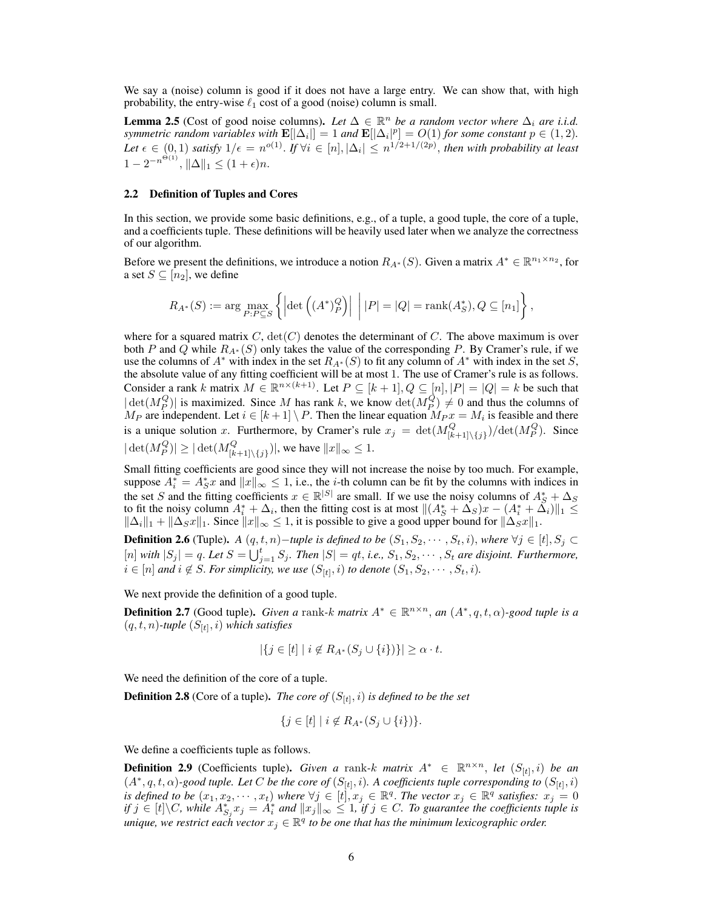We say a (noise) column is good if it does not have a large entry. We can show that, with high probability, the entry-wise  $\ell_1$  cost of a good (noise) column is small.

**Lemma 2.5** (Cost of good noise columns). Let  $\Delta \in \mathbb{R}^n$  be a random vector where  $\Delta_i$  are i.i.d. *symmetric random variables with*  $\mathbf{E}[\Delta_i] = 1$  *and*  $\mathbf{E}[\Delta_i]^p = O(1)$  *for some constant*  $p \in (1, 2)$ *.* Let  $\epsilon \in (0,1)$  satisfy  $1/\epsilon = n^{o(1)}$ . If  $\forall i \in [n], |\Delta_i| \leq n^{1/2+1/(2p)}$ , then with probability at least  $1 - 2^{-n^{\Theta(1)}}, \|\Delta\|_1 \le (1 + \epsilon)n.$ 

#### 2.2 Definition of Tuples and Cores

In this section, we provide some basic definitions, e.g., of a tuple, a good tuple, the core of a tuple, and a coefficients tuple. These definitions will be heavily used later when we analyze the correctness of our algorithm.

Before we present the definitions, we introduce a notion  $R_{A^*}(S)$ . Given a matrix  $A^* \in \mathbb{R}^{n_1 \times n_2}$ , for a set  $S \subseteq [n_2]$ , we define

$$
R_{A^*}(S) := \arg\max_{P:P \subseteq S} \left\{ \left| \det \left( (A^*)^Q_P \right) \right| \ \middle| \ |P| = |Q| = \text{rank}(A^*_S), Q \subseteq [n_1] \right\},\
$$

where for a squared matrix  $C$ ,  $\det(C)$  denotes the determinant of C. The above maximum is over both P and Q while  $R_{A^*}(S)$  only takes the value of the corresponding P. By Cramer's rule, if we use the columns of  $A^*$  with index in the set  $R_{A^*}(S)$  to fit any column of  $A^*$  with index in the set S, the absolute value of any fitting coefficient will be at most 1. The use of Cramer's rule is as follows. Consider a rank k matrix  $M \in \mathbb{R}^{n \times (k+1)}$ . Let  $P \subseteq [k+1], Q \subseteq [n], |P| = |Q| = k$  be such that  $|\det(M_P^Q)|$  is maximized. Since M has rank k, we know  $\det(M_P^Q) \neq 0$  and thus the columns of  $M_P$  are independent. Let  $i \in [k+1] \setminus P$ . Then the linear equation  $M_P x = M_i$  is feasible and there is a unique solution x. Furthermore, by Cramer's rule  $x_j = \det(M_{[k+1]\setminus\{j\}}^Q)/\det(M_P^Q)$ . Since  $|\det(M_P^Q)| \ge |\det(M_{[k+1]\setminus\{j\}}^Q)|$ , we have  $||x||_{\infty} \le 1$ .

Small fitting coefficients are good since they will not increase the noise by too much. For example, suppose  $A_i^* = A_S^*x$  and  $||x||_{\infty} \le 1$ , i.e., the *i*-th column can be fit by the columns with indices in the set S and the fitting coefficients  $x \in \mathbb{R}^{|S|}$  are small. If we use the noisy columns of  $A_S^* + \Delta_S$ to fit the noisy column  $A_i^* + \Delta_i$ , then the fitting cost is at most  $||(A_S^* + \Delta_S)x - (A_i^* + \Delta_i)||_1 \le$  $\|\Delta_i\|_1 + \|\Delta_S x\|_1$ . Since  $\|x\|_{\infty} \leq 1$ , it is possible to give a good upper bound for  $\|\Delta_S x\|_1$ .

**Definition 2.6** (Tuple). *A*  $(q, t, n)$ *-tuple is defined to be*  $(S_1, S_2, \cdots, S_t, i)$ , *where* ∀*j* ∈ [t],  $S_j$  ⊂  $[n]$  with  $|S_j| = q$ . Let  $S = \bigcup_{j=1}^t S_j$ . Then  $|S| = qt$ , *i.e.*,  $S_1, S_2, \cdots, S_t$  are disjoint. Furthermore,  $i ∈ [n]$  and  $i ∉ S$ . *For simplicity, we use*  $(S_{[t]}, i)$  *to denote*  $(S_1, S_2, \cdots, S_t, i)$ *.* 

We next provide the definition of a good tuple.

**Definition 2.7** (Good tuple). *Given a* rank-k *matrix*  $A^* \in \mathbb{R}^{n \times n}$ , *an*  $(A^*, q, t, \alpha)$ -good tuple is a  $(q, t, n)$ -tuple  $(S_{[t]}, i)$  which satisfies

$$
|\{j \in [t] \mid i \notin R_{A^*}(S_j \cup \{i\})\}| \ge \alpha \cdot t.
$$

We need the definition of the core of a tuple.

**Definition 2.8** (Core of a tuple). *The core of*  $(S_{[t]}, i)$  *is defined to be the set* 

$$
\{j \in [t] \mid i \notin R_{A^*}(S_j \cup \{i\})\}.
$$

We define a coefficients tuple as follows.

**Definition 2.9** (Coefficients tuple). *Given a* rank-k *matrix*  $A^* \in \mathbb{R}^{n \times n}$ , *let*  $(S_{[t]}, i)$  *be an*  $(A^*, q, t, \alpha)$ -good tuple. Let C be the core of  $(S_{[t]}, i)$ . A coefficients tuple corresponding to  $(S_{[t]}, i)$ *is defined to be*  $(x_1, x_2, \dots, x_t)$  *where*  $\forall j \in [t], x_j \in \mathbb{R}^q$ . *The vector*  $x_j \in \mathbb{R}^q$  *satisfies:*  $x_j = 0$ *if*  $j \in [t] \backslash C$ , while  $A_{S_j}^* x_j = A_i^*$  and  $||x_j||_{\infty} \leq 1$ , if  $j \in C$ . To guarantee the coefficients tuple is unique, we restrict each vector  $x_j \in \mathbb{R}^q$  to be one that has the minimum lexicographic order.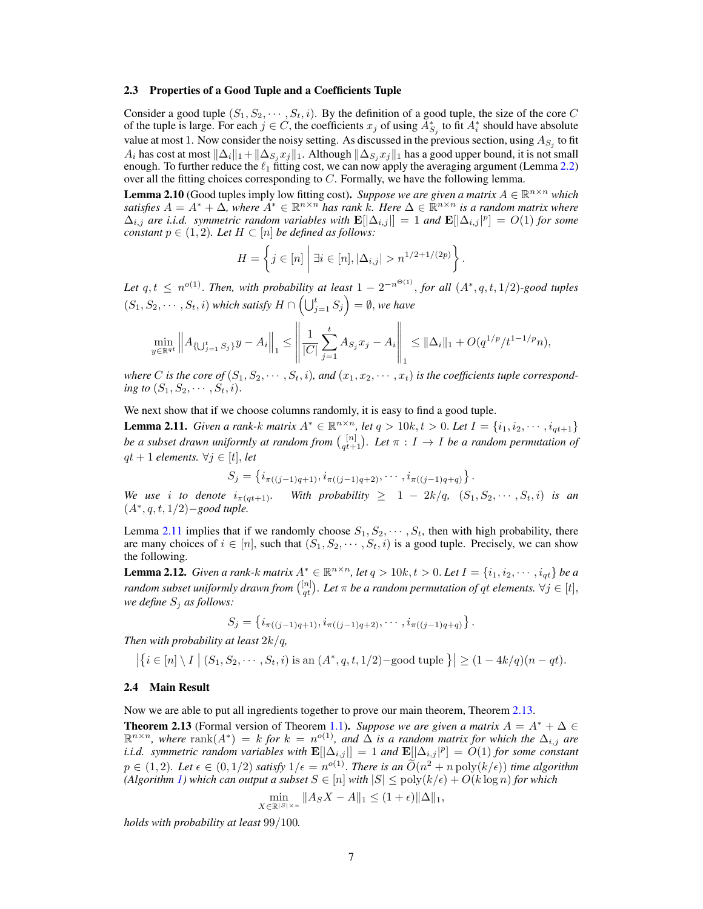#### 2.3 Properties of a Good Tuple and a Coefficients Tuple

Consider a good tuple  $(S_1, S_2, \dots, S_t, i)$ . By the definition of a good tuple, the size of the core C of the tuple is large. For each  $j \in C$ , the coefficients  $x_j$  of using  $\overline{A}_{S_j}^*$  to fit  $A_i^*$  should have absolute value at most 1. Now consider the noisy setting. As discussed in the previous section, using  $A_{S_j}$  to fit  $A_i$  has cost at most  $\|\Delta_i\|_1+\|\Delta_{S_i}x_j\|_1$ . Although  $\|\Delta_{S_i}x_j\|_1$  has a good upper bound, it is not small enough. To further reduce the  $\ell_1$  fitting cost, we can now apply the averaging argument (Lemma 2.2) over all the fitting choices corresponding to  $C$ . Formally, we have the following lemma.

**Lemma 2.10** (Good tuples imply low fitting cost). Suppose we are given a matrix  $A \in \mathbb{R}^{n \times n}$  which satisfies  $A = A^* + \Delta$ , where  $A^* \in \mathbb{R}^{n \times n}$  has rank k. Here  $\Delta \in \mathbb{R}^{n \times n}$  is a random matrix where  $\Delta_{i,j}$  are i.i.d. symmetric random variables with  $\mathbf{E}[\Delta_{i,j}] = 1$  and  $\mathbf{E}[[\Delta_{i,j}]^p] = O(1)$  for some *constant*  $p \in (1, 2)$ *. Let*  $H \subset [n]$  *be defined as follows:* 

$$
H = \left\{ j \in [n] \mid \exists i \in [n], |\Delta_{i,j}| > n^{1/2 + 1/(2p)} \right\}.
$$

Let  $q, t \leq n^{o(1)}$ . *Then, with probability at least*  $1 - 2^{-n^{\Theta(1)}}$ *, for all*  $(A^*, q, t, 1/2)$ *-good tuples*  $(S_1, S_2, \dots, S_t, i)$  which satisfy  $H \cap \left(\bigcup_{j=1}^t S_j\right) = \emptyset$ , we have

$$
\min_{y \in \mathbb{R}^{qt}} \left\| A_{\{U_{j=1}^t S_j\}} y - A_i \right\|_1 \le \left\| \frac{1}{|C|} \sum_{j=1}^t A_{S_j} x_j - A_i \right\|_1 \le \|\Delta_i\|_1 + O(q^{1/p}/t^{1-1/p}n),
$$

where C is the core of  $(S_1, S_2, \dots, S_t, i)$ , and  $(x_1, x_2, \dots, x_t)$  is the coefficients tuple correspond*ing to*  $(S_1, S_2, \dots, S_t, i)$ .

We next show that if we choose columns randomly, it is easy to find a good tuple.

**Lemma 2.11.** *Given a rank-k matrix*  $A^* \in \mathbb{R}^{n \times n}$ *, let*  $q > 10k$ *,t*  $> 0$ *. Let*  $I = \{i_1, i_2, \dots, i_{qt+1}\}$ *be a subset drawn uniformly at random from*  $\binom{[n]}{qt+1}$ *. Let*  $\pi : I \to I$  *be a random permutation of*  $qt + 1$  *elements.*  $\forall j \in [t]$ , *let* 

$$
S_j = \{i_{\pi((j-1)q+1)}, i_{\pi((j-1)q+2)}, \cdots, i_{\pi((j-1)q+q)}\}.
$$

*We use i to denote*  $i_{\pi(qt+1)}$ *. With probability*  $\geq 1 - 2k/q$ *,*  $(S_1, S_2, \cdots, S_t, i)$  *is an* (A<sup>∗</sup> , q, t, 1/2)−*good tuple.*

Lemma 2.11 implies that if we randomly choose  $S_1, S_2, \cdots, S_t$ , then with high probability, there are many choices of  $i \in [n]$ , such that  $(S_1, S_2, \dots, S_t, i)$  is a good tuple. Precisely, we can show the following.

**Lemma 2.12.** *Given a rank-k matrix*  $A^* \in \mathbb{R}^{n \times n}$ *, let*  $q > 10k$ *,*  $t > 0$ *. Let*  $I = \{i_1, i_2, \dots, i_{qt}\}$  *be a random subset uniformly drawn from*  $\binom{[n]}{q t}$ *. Let*  $\pi$  *be a random permutation of*  $q t$  *elements.*  $\forall j \in [t]$ *, we define* S<sup>j</sup> *as follows:*

$$
S_j = \{i_{\pi((j-1)q+1)}, i_{\pi((j-1)q+2)}, \cdots, i_{\pi((j-1)q+q)}\}.
$$

*Then with probability at least* 2k/q*,*

$$
\left|\left\{i \in [n] \setminus I \mid (S_1, S_2, \cdots, S_t, i) \text{ is an } (A^*, q, t, 1/2) - \text{good tuple }\right\}\right| \geq (1 - 4k/q)(n - qt).
$$

#### 2.4 Main Result

Now we are able to put all ingredients together to prove our main theorem, Theorem 2.13.

**Theorem 2.13** (Formal version of Theorem 1.1). *Suppose we are given a matrix*  $A = A^* + \Delta \in$  $\mathbb{R}^{n \times n}$ , where  $\text{rank}(A^*) = k$  *for*  $k = n^{o(1)}$ , and  $\Delta$  *is a random matrix for which the*  $\Delta_{i,j}$  *are i.i.d.* symmetric random variables with  $\mathbf{E}[\lvert \Delta_{i,j} \rvert] = 1$  and  $\mathbf{E}[\lvert \Delta_{i,j} \rvert^p] = O(1)$  for some constant  $p \in (1,2)$ *. Let*  $\epsilon \in (0,1/2)$  *satisfy*  $1/\epsilon = n^{o(1)}$ *. There is an*  $\widetilde{O}(n^2 + n \text{ poly}(k/\epsilon))$  *time algorithm (Algorithm 1) which can output a subset*  $S \in [n]$  *with*  $|S| \le \text{poly}(k/\epsilon) + O(k \log n)$  *for which* 

$$
\min_{X \in \mathbb{R}^{|S| \times n}} \|A_S X - A\|_1 \le (1 + \epsilon) \|\Delta\|_1,
$$

*holds with probability at least* 99/100*.*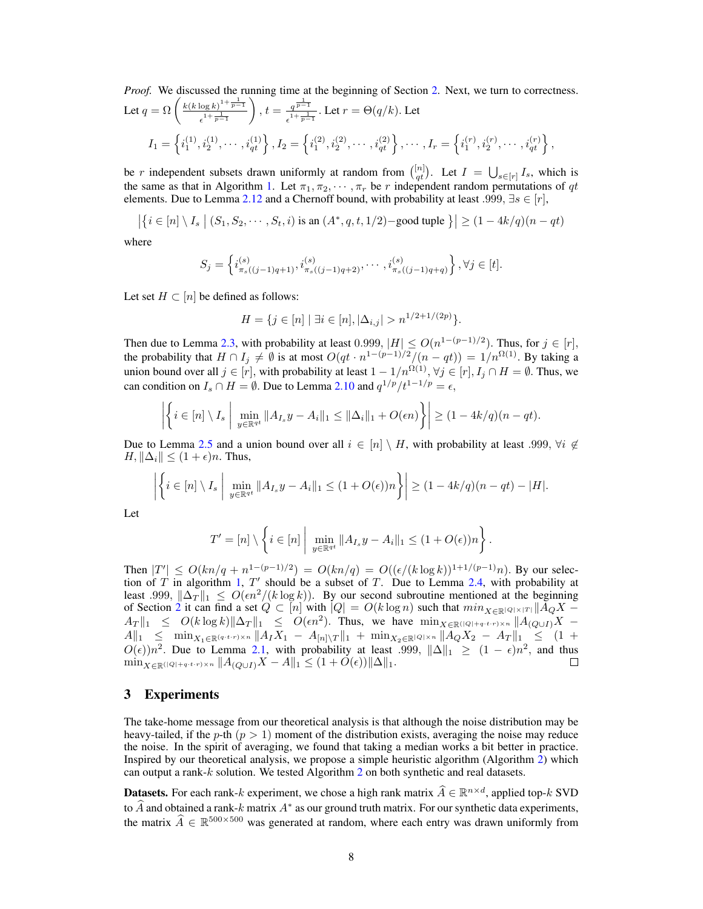*Proof.* We discussed the running time at the beginning of Section 2. Next, we turn to correctness. Let  $q = \Omega \left( \frac{k(k \log k)^{1 + \frac{1}{p-1}}}{1 + \frac{1}{p-1}} \right)$  $\frac{1}{e^{1+\frac{1}{p-1}}}$ ),  $t = \frac{q^{\frac{1}{p-1}}}{1+1}$  $\frac{q^{p-1}}{\epsilon^{1+\frac{1}{p-1}}}$ . Let  $r = \Theta(q/k)$ . Let  $I_1=\left\{i_1^{(1)},i_2^{(1)},\cdots,i_{qt}^{(1)}\right\}, I_2=\left\{i_1^{(2)},i_2^{(2)},\cdots,i_{qt}^{(2)}\right\},\cdots,I_r=\left\{i_1^{(r)},i_2^{(r)},\cdots,i_{qt}^{(r)}\right\},$ 

be r independent subsets drawn uniformly at random from  $\binom{[n]}{qt}$ . Let  $I = \bigcup_{s \in [r]} I_s$ , which is the same as that in Algorithm 1. Let  $\pi_1, \pi_2, \cdots, \pi_r$  be r independent random permutations of qt elements. Due to Lemma 2.12 and a Chernoff bound, with probability at least .999,  $\exists s \in [r]$ ,

$$
\left| \left\{ i \in [n] \setminus I_s \mid (S_1, S_2, \cdots, S_t, i) \text{ is an } (A^*, q, t, 1/2) - \text{good tuple } \right\} \right| \ge (1 - 4k/q)(n - qt)
$$

where

$$
S_j = \left\{ i_{\pi_s((j-1)q+1)}^{(s)}, i_{\pi_s((j-1)q+2)}^{(s)}, \cdots, i_{\pi_s((j-1)q+q)}^{(s)} \right\}, \forall j \in [t].
$$

Let set  $H \subset [n]$  be defined as follows:

$$
H = \{ j \in [n] \mid \exists i \in [n], |\Delta_{i,j}| > n^{1/2 + 1/(2p)} \}.
$$

Then due to Lemma 2.3, with probability at least 0.999,  $|H| \leq O(n^{1-(p-1)/2})$ . Thus, for  $j \in [r]$ , the probability that  $H \cap I_j \neq \emptyset$  is at most  $O(qt \cdot n^{1-(p-1)/2}/(n-qt)) = 1/n^{\Omega(1)}$ . By taking a union bound over all  $j \in [r]$ , with probability at least  $1 - 1/n^{\Omega(1)}$ ,  $\forall j \in [r]$ ,  $I_j \cap H = \emptyset$ . Thus, we can condition on  $I_s \cap H = \emptyset$ . Due to Lemma 2.10 and  $q^{1/p}/t^{1-1/p} = \epsilon$ ,

$$
\left| \left\{ i \in [n] \setminus I_s \; \middle| \; \min_{y \in \mathbb{R}^{qt}} \|A_{I_s}y - A_i\|_1 \leq \|\Delta_i\|_1 + O(\epsilon n) \right\} \right| \geq (1 - 4k/q)(n - qt).
$$

Due to Lemma 2.5 and a union bound over all  $i \in [n] \setminus H$ , with probability at least .999,  $\forall i \notin$  $H, \|\Delta_i\| \leq (1+\epsilon)n$ . Thus,

$$
\left| \left\{ i \in [n] \setminus I_s \; \middle| \; \min_{y \in \mathbb{R}^{qt}} \| A_{I_s} y - A_i \|_1 \leq (1 + O(\epsilon)) n \right\} \right| \geq (1 - 4k/q)(n - qt) - |H|.
$$

Let

$$
T' = [n] \setminus \left\{ i \in [n] \mid \min_{y \in \mathbb{R}^{qt}} \|A_{I_s}y - A_i\|_1 \leq (1 + O(\epsilon))n \right\}.
$$

Then  $|T'| \le O(kn/q + n^{1-(p-1)/2}) = O(kn/q) = O((\epsilon/(k \log k))^{1+1/(p-1)}n)$ . By our selection of T in algorithm 1, T' should be a subset of T. Due to Lemma 2.4, with probability at least .999,  $\|\Delta_T\|_1 \leq O(\epsilon n^2/(k \log k))$ . By our second subroutine mentioned at the beginning of Section 2 it can find a set  $Q \subset [n]$  with  $|Q| = O(k \log n)$  such that  $min_{X \in \mathbb{R}^{|Q| \times |T|}} ||A_Q X A_T \|_1 \leq O(k \log k) \|\Delta_T\|_1 \leq O(\epsilon n^2)$ . Thus, we have  $\min_{X \in \mathbb{R}} (\mathbb{Q} + 1 + \epsilon^{1+\epsilon}) \times n} \|A_{(Q \cup I)}X A\|_1 \leq \min_{X_1 \in \mathbb{R}^{(q \cdot t \cdot r) \times n}} \|A_I X_1 - A_{[n] \setminus T} \|_1 + \min_{X_2 \in \mathbb{R}^{(Q) \times n}} \|A_Q X_2 - A_T \|_1 \leq (1 +$  $O(\epsilon)$ ) $n^2$ . Due to Lemma 2.1, with probability at least .999,  $\|\Delta\|_1 \geq (1 - \epsilon)n^2$ , and thus  $\min_{X \in \mathbb{R} (|Q|+q \cdot t \cdot r) \times n} \|A_{(Q \cup I)} X - A \|_1 \leq (1 + O(\epsilon)) \| \Delta \|_1.$ П

# 3 Experiments

The take-home message from our theoretical analysis is that although the noise distribution may be heavy-tailed, if the p-th  $(p > 1)$  moment of the distribution exists, averaging the noise may reduce the noise. In the spirit of averaging, we found that taking a median works a bit better in practice. Inspired by our theoretical analysis, we propose a simple heuristic algorithm (Algorithm 2) which can output a rank-k solution. We tested Algorithm 2 on both synthetic and real datasets.

**Datasets.** For each rank-k experiment, we chose a high rank matrix  $\widehat{A} \in \mathbb{R}^{n \times d}$ , applied top-k SVD to  $\widehat{A}$  and obtained a rank-k matrix  $A^*$  as our ground truth matrix. For our synthetic data experiments, the matrix  $\hat{A} \in \mathbb{R}^{500 \times 500}$  was generated at random, where each entry was drawn uniformly from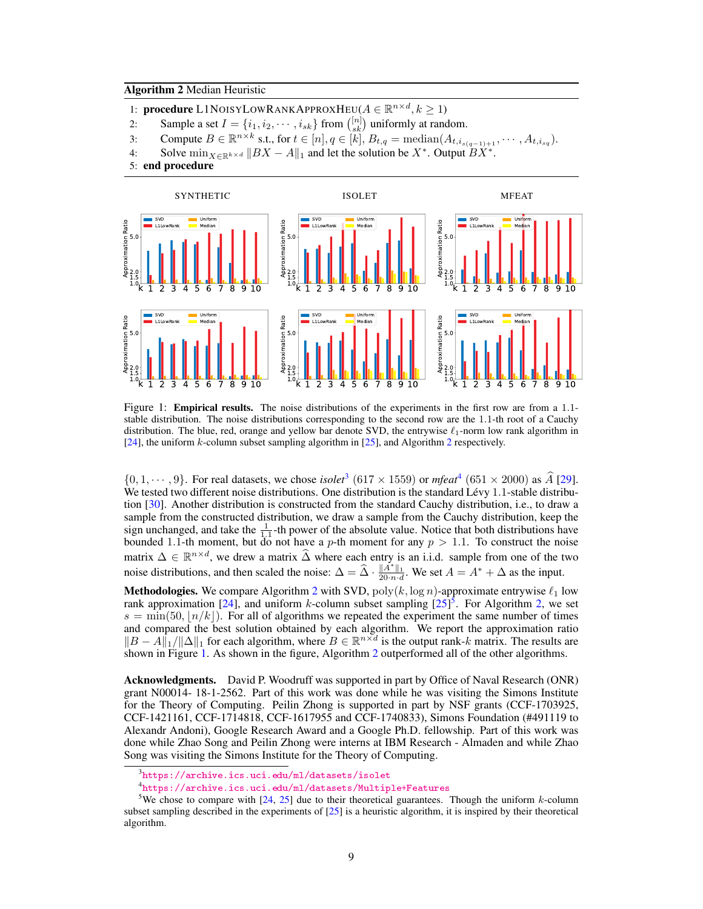## Algorithm 2 Median Heuristic

- 1: **procedure** L1NOISYLOWRANKAPPROXHEU( $A \in \mathbb{R}^{n \times d}, k \geq 1$ )
- 2: Sample a set  $I = \{i_1, i_2, \dots, i_{sk}\}\$  from  $\binom{[n]}{sk}$  uniformly at random.
- 3: Compute  $B \in \mathbb{R}^{n \times k}$  s.t., for  $t \in [n], q \in [k], B_{t,q} = \text{median}(A_{t,i_{s(q-1)+1}}, \cdots, A_{t,i_{sq}})$ .
- 4: Solve  $\min_{X \in \mathbb{R}^{k \times d}} \|BX A\|_1$  and let the solution be  $X^*$ . Output  $\overrightarrow{BX^*}$ .
- 5: end procedure



Figure 1: **Empirical results.** The noise distributions of the experiments in the first row are from a 1.1stable distribution. The noise distributions corresponding to the second row are the 1.1-th root of a Cauchy distribution. The blue, red, orange and yellow bar denote SVD, the entrywise  $\ell_1$ -norm low rank algorithm in [24], the uniform k-column subset sampling algorithm in [25], and Algorithm 2 respectively.

 $\{0, 1, \dots, 9\}$ . For real datasets, we chose *isolet*<sup>3</sup> (617 × 1559) or *mfeat*<sup>4</sup> (651 × 2000) as A [29]. We tested two different noise distributions. One distribution is the standard Lévy 1.1-stable distribution [30]. Another distribution is constructed from the standard Cauchy distribution, i.e., to draw a sample from the constructed distribution, we draw a sample from the Cauchy distribution, keep the sign unchanged, and take the  $\frac{1}{1.1}$ -th power of the absolute value. Notice that both distributions have bounded 1.1-th moment, but do not have a p-th moment for any  $p > 1.1$ . To construct the noise matrix  $\Delta \in \mathbb{R}^{n \times d}$ , we drew a matrix  $\widehat{\Delta}$  where each entry is an i.i.d. sample from one of the two noise distributions, and then scaled the noise:  $\Delta = \hat{\Delta} \cdot \frac{\|\hat{A}^*\|_1}{20 \cdot n \cdot d}$ . We set  $A = A^* + \Delta$  as the input.

**Methodologies.** We compare Algorithm 2 with SVD, poly $(k, \log n)$ -approximate entrywise  $\ell_1$  low rank approximation [24], and uniform k-column subset sampling  $[25]$ <sup>5</sup>. For Algorithm 2, we set  $s = \min(50, \vert n/k \vert)$ . For all of algorithms we repeated the experiment the same number of times and compared the best solution obtained by each algorithm. We report the approximation ratio  $||B - A||_1 / ||\Delta||_1$  for each algorithm, where  $B \in \mathbb{R}^{n \times d}$  is the output rank-k matrix. The results are shown in Figure 1. As shown in the figure, Algorithm 2 outperformed all of the other algorithms.

Acknowledgments. David P. Woodruff was supported in part by Office of Naval Research (ONR) grant N00014- 18-1-2562. Part of this work was done while he was visiting the Simons Institute for the Theory of Computing. Peilin Zhong is supported in part by NSF grants (CCF-1703925, CCF-1421161, CCF-1714818, CCF-1617955 and CCF-1740833), Simons Foundation (#491119 to Alexandr Andoni), Google Research Award and a Google Ph.D. fellowship. Part of this work was done while Zhao Song and Peilin Zhong were interns at IBM Research - Almaden and while Zhao Song was visiting the Simons Institute for the Theory of Computing.

4 https://archive.ics.uci.edu/ml/datasets/Multiple+Features

 $^3$ https://archive.ics.uci.edu/ml/datasets/isolet

<sup>&</sup>lt;sup>5</sup>We chose to compare with  $[24, 25]$  due to their theoretical guarantees. Though the uniform k-column subset sampling described in the experiments of  $[25]$  is a heuristic algorithm, it is inspired by their theoretical algorithm.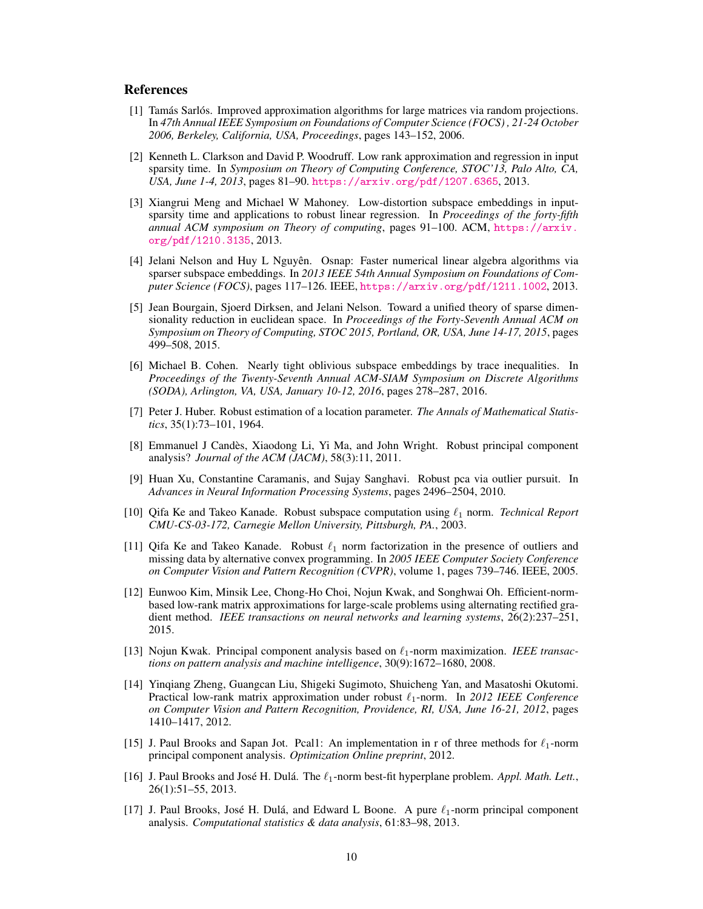## References

- [1] Tamás Sarlós. Improved approximation algorithms for large matrices via random projections. In *47th Annual IEEE Symposium on Foundations of Computer Science (FOCS) , 21-24 October 2006, Berkeley, California, USA, Proceedings*, pages 143–152, 2006.
- [2] Kenneth L. Clarkson and David P. Woodruff. Low rank approximation and regression in input sparsity time. In *Symposium on Theory of Computing Conference, STOC'13, Palo Alto, CA, USA, June 1-4, 2013*, pages 81–90. https://arxiv.org/pdf/1207.6365, 2013.
- [3] Xiangrui Meng and Michael W Mahoney. Low-distortion subspace embeddings in inputsparsity time and applications to robust linear regression. In *Proceedings of the forty-fifth annual ACM symposium on Theory of computing*, pages 91–100. ACM, https://arxiv. org/pdf/1210.3135, 2013.
- [4] Jelani Nelson and Huy L Nguyên. Osnap: Faster numerical linear algebra algorithms via sparser subspace embeddings. In *2013 IEEE 54th Annual Symposium on Foundations of Computer Science (FOCS)*, pages 117–126. IEEE, https://arxiv.org/pdf/1211.1002, 2013.
- [5] Jean Bourgain, Sjoerd Dirksen, and Jelani Nelson. Toward a unified theory of sparse dimensionality reduction in euclidean space. In *Proceedings of the Forty-Seventh Annual ACM on Symposium on Theory of Computing, STOC 2015, Portland, OR, USA, June 14-17, 2015*, pages 499–508, 2015.
- [6] Michael B. Cohen. Nearly tight oblivious subspace embeddings by trace inequalities. In *Proceedings of the Twenty-Seventh Annual ACM-SIAM Symposium on Discrete Algorithms (SODA), Arlington, VA, USA, January 10-12, 2016*, pages 278–287, 2016.
- [7] Peter J. Huber. Robust estimation of a location parameter. *The Annals of Mathematical Statistics*, 35(1):73–101, 1964.
- [8] Emmanuel J Candès, Xiaodong Li, Yi Ma, and John Wright. Robust principal component analysis? *Journal of the ACM (JACM)*, 58(3):11, 2011.
- [9] Huan Xu, Constantine Caramanis, and Sujay Sanghavi. Robust pca via outlier pursuit. In *Advances in Neural Information Processing Systems*, pages 2496–2504, 2010.
- [10] Qifa Ke and Takeo Kanade. Robust subspace computation using  $\ell_1$  norm. *Technical Report CMU-CS-03-172, Carnegie Mellon University, Pittsburgh, PA.*, 2003.
- [11] Qifa Ke and Takeo Kanade. Robust  $\ell_1$  norm factorization in the presence of outliers and missing data by alternative convex programming. In *2005 IEEE Computer Society Conference on Computer Vision and Pattern Recognition (CVPR)*, volume 1, pages 739–746. IEEE, 2005.
- [12] Eunwoo Kim, Minsik Lee, Chong-Ho Choi, Nojun Kwak, and Songhwai Oh. Efficient-normbased low-rank matrix approximations for large-scale problems using alternating rectified gradient method. *IEEE transactions on neural networks and learning systems*, 26(2):237–251, 2015.
- [13] Nojun Kwak. Principal component analysis based on  $\ell_1$ -norm maximization. *IEEE transactions on pattern analysis and machine intelligence*, 30(9):1672–1680, 2008.
- [14] Yinqiang Zheng, Guangcan Liu, Shigeki Sugimoto, Shuicheng Yan, and Masatoshi Okutomi. Practical low-rank matrix approximation under robust  $\ell_1$ -norm. In 2012 IEEE Conference *on Computer Vision and Pattern Recognition, Providence, RI, USA, June 16-21, 2012*, pages 1410–1417, 2012.
- [15] J. Paul Brooks and Sapan Jot. Pcal1: An implementation in r of three methods for  $\ell_1$ -norm principal component analysis. *Optimization Online preprint*, 2012.
- [16] J. Paul Brooks and José H. Dulá. The  $\ell_1$ -norm best-fit hyperplane problem. *Appl. Math. Lett.*, 26(1):51–55, 2013.
- [17] J. Paul Brooks, José H. Dulá, and Edward L Boone. A pure  $\ell_1$ -norm principal component analysis. *Computational statistics & data analysis*, 61:83–98, 2013.